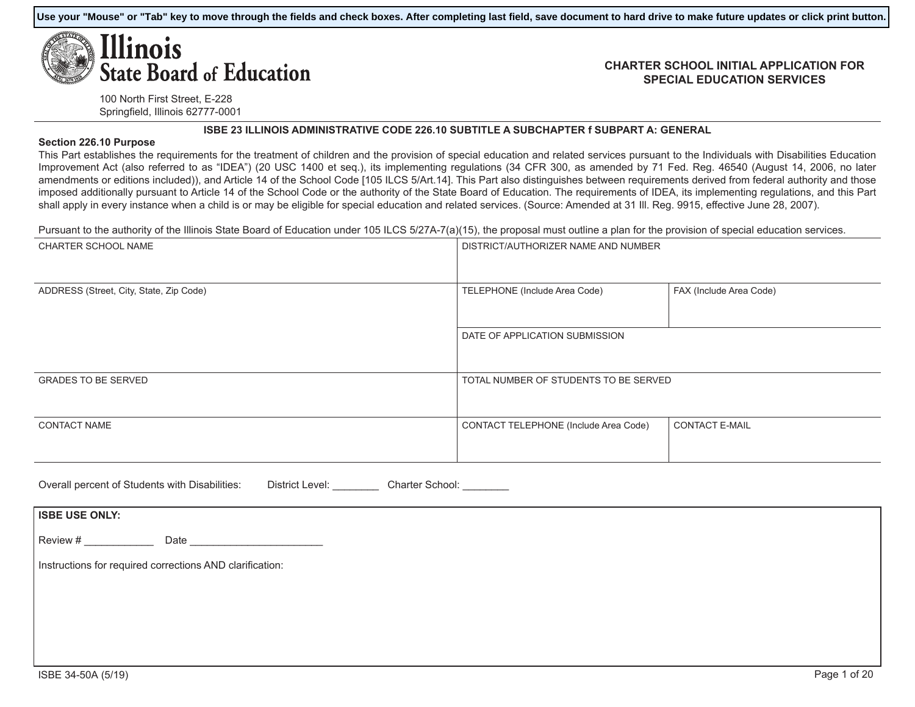**Use your "Mouse" or "Tab" key to move through the fields and check boxes. After completing last field, save document to hard drive to make future updates or click print button.**

# Ilinois **State Board of Education**

#### **CHARTER SCHOOL INITIAL APPLICATION FOR SPECIAL EDUCATION SERVICES**

100 North First Street, E-228 Springfield, Illinois 62777-0001

#### **ISBE 23 ILLINOIS ADMINISTRATIVE CODE 226.10 SUBTITLE A SUBCHAPTER f SUBPART A: GENERAL**

#### **Section 226.10 Purpose**

This Part establishes the requirements for the treatment of children and the provision of special education and related services pursuant to the Individuals with Disabilities Education Improvement Act (also referred to as "IDEA") (20 USC 1400 et seq.), its implementing regulations (34 CFR 300, as amended by 71 Fed. Reg. 46540 (August 14, 2006, no later amendments or editions included)), and Article 14 of the School Code [105 ILCS 5/Art.14]. This Part also distinguishes between requirements derived from federal authority and those imposed additionally pursuant to Article 14 of the School Code or the authority of the State Board of Education. The requirements of IDEA, its implementing regulations, and this Part shall apply in every instance when a child is or may be eligible for special education and related services. (Source: Amended at 31 III. Reg. 9915, effective June 28, 2007).

Pursuant to the authority of the Illinois State Board of Education under 105 ILCS 5/27A-7(a)(15), the proposal must outline a plan for the provision of special education services.

| DISTRICT/AUTHORIZER NAME AND NUMBER   |                         |
|---------------------------------------|-------------------------|
| TELEPHONE (Include Area Code)         | FAX (Include Area Code) |
| DATE OF APPLICATION SUBMISSION        |                         |
| TOTAL NUMBER OF STUDENTS TO BE SERVED |                         |
| CONTACT TELEPHONE (Include Area Code) | <b>CONTACT E-MAIL</b>   |
|                                       |                         |

| Overall percent of Students with Disabilities: | District Level: | Charter School: |  |
|------------------------------------------------|-----------------|-----------------|--|
|                                                |                 |                 |  |

| <b>ISBE USE ONLY:</b> |                                                          |
|-----------------------|----------------------------------------------------------|
| Review #              | Date                                                     |
|                       | Instructions for required corrections AND clarification: |
|                       |                                                          |
|                       |                                                          |
|                       |                                                          |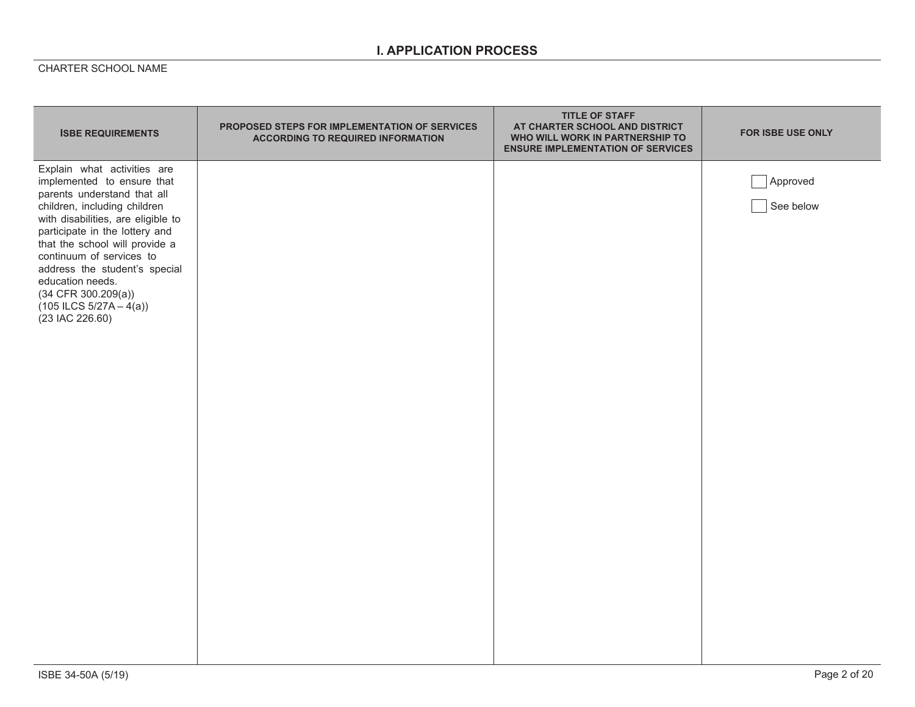## **I. APPLICATION PROCESS**

| <b>ISBE REQUIREMENTS</b>                                                                                                                                                                                                                                                                                                                                                                       | PROPOSED STEPS FOR IMPLEMENTATION OF SERVICES<br><b>ACCORDING TO REQUIRED INFORMATION</b> | <b>TITLE OF STAFF</b><br>AT CHARTER SCHOOL AND DISTRICT<br>WHO WILL WORK IN PARTNERSHIP TO<br><b>ENSURE IMPLEMENTATION OF SERVICES</b> | FOR ISBE USE ONLY     |
|------------------------------------------------------------------------------------------------------------------------------------------------------------------------------------------------------------------------------------------------------------------------------------------------------------------------------------------------------------------------------------------------|-------------------------------------------------------------------------------------------|----------------------------------------------------------------------------------------------------------------------------------------|-----------------------|
| Explain what activities are<br>implemented to ensure that<br>parents understand that all<br>children, including children<br>with disabilities, are eligible to<br>participate in the lottery and<br>that the school will provide a<br>continuum of services to<br>address the student's special<br>education needs.<br>$(34$ CFR 300.209(a))<br>$(105$ ILCS $5/27A - 4(a))$<br>(23 IAC 226.60) |                                                                                           |                                                                                                                                        | Approved<br>See below |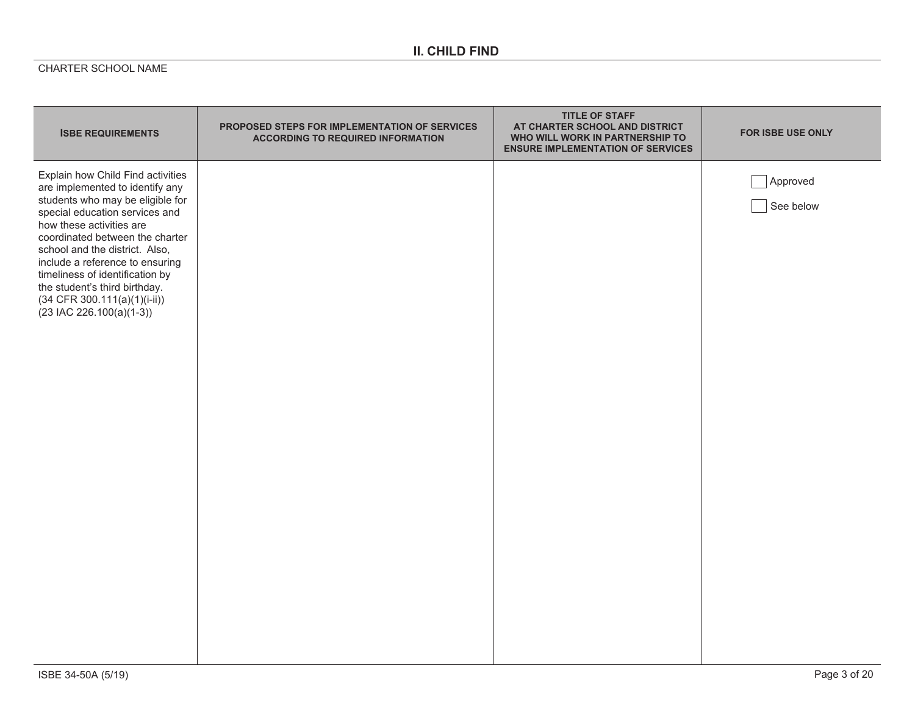# **II. CHILD FIND**

| <b>ISBE REQUIREMENTS</b>                                                                                                                                                                                                                                                                                                                                                                                           | <b>PROPOSED STEPS FOR IMPLEMENTATION OF SERVICES</b><br><b>ACCORDING TO REQUIRED INFORMATION</b> | <b>TITLE OF STAFF</b><br>AT CHARTER SCHOOL AND DISTRICT<br>WHO WILL WORK IN PARTNERSHIP TO<br><b>ENSURE IMPLEMENTATION OF SERVICES</b> | <b>FOR ISBE USE ONLY</b> |
|--------------------------------------------------------------------------------------------------------------------------------------------------------------------------------------------------------------------------------------------------------------------------------------------------------------------------------------------------------------------------------------------------------------------|--------------------------------------------------------------------------------------------------|----------------------------------------------------------------------------------------------------------------------------------------|--------------------------|
| Explain how Child Find activities<br>are implemented to identify any<br>students who may be eligible for<br>special education services and<br>how these activities are<br>coordinated between the charter<br>school and the district. Also,<br>include a reference to ensuring<br>timeliness of identification by<br>the student's third birthday.<br>$(34$ CFR 300.111(a)(1)(i-ii))<br>$(23$ IAC 226.100(a)(1-3)) |                                                                                                  |                                                                                                                                        | Approved<br>See below    |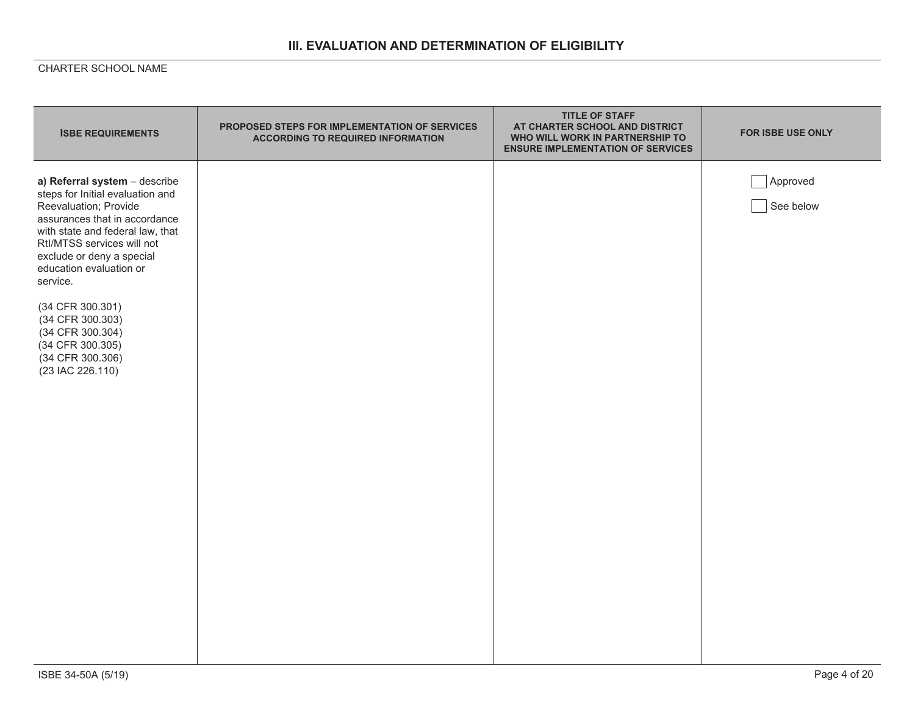# **III. EVALUATION AND DETERMINATION OF ELIGIBILITY**

| <b>ISBE REQUIREMENTS</b>                                                                                                                                                                                                                                                                                                                                                                  | PROPOSED STEPS FOR IMPLEMENTATION OF SERVICES<br><b>ACCORDING TO REQUIRED INFORMATION</b> | <b>TITLE OF STAFF</b><br>AT CHARTER SCHOOL AND DISTRICT<br>WHO WILL WORK IN PARTNERSHIP TO<br><b>ENSURE IMPLEMENTATION OF SERVICES</b> | <b>FOR ISBE USE ONLY</b> |
|-------------------------------------------------------------------------------------------------------------------------------------------------------------------------------------------------------------------------------------------------------------------------------------------------------------------------------------------------------------------------------------------|-------------------------------------------------------------------------------------------|----------------------------------------------------------------------------------------------------------------------------------------|--------------------------|
| a) Referral system - describe<br>steps for Initial evaluation and<br>Reevaluation; Provide<br>assurances that in accordance<br>with state and federal law, that<br>Rtl/MTSS services will not<br>exclude or deny a special<br>education evaluation or<br>service.<br>(34 CFR 300.301)<br>(34 CFR 300.303)<br>(34 CFR 300.304)<br>(34 CFR 300.305)<br>(34 CFR 300.306)<br>(23 IAC 226.110) |                                                                                           |                                                                                                                                        | Approved<br>See below    |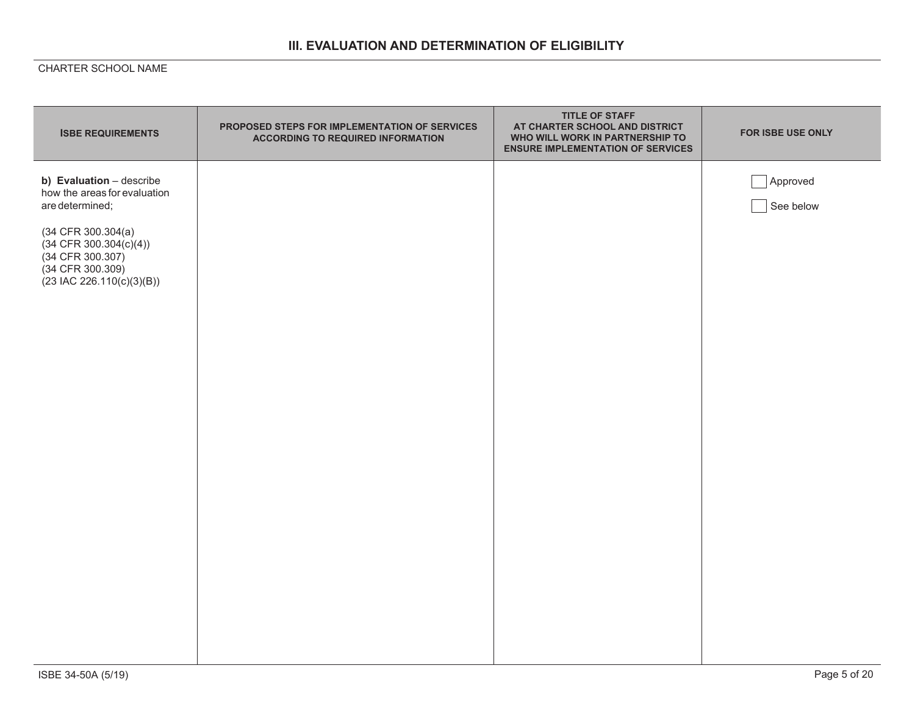# **III. EVALUATION AND DETERMINATION OF ELIGIBILITY**

| <b>ISBE REQUIREMENTS</b>                                                                                                   | PROPOSED STEPS FOR IMPLEMENTATION OF SERVICES<br><b>ACCORDING TO REQUIRED INFORMATION</b> | <b>TITLE OF STAFF</b><br>AT CHARTER SCHOOL AND DISTRICT<br>WHO WILL WORK IN PARTNERSHIP TO<br><b>ENSURE IMPLEMENTATION OF SERVICES</b> | FOR ISBE USE ONLY     |
|----------------------------------------------------------------------------------------------------------------------------|-------------------------------------------------------------------------------------------|----------------------------------------------------------------------------------------------------------------------------------------|-----------------------|
| b) Evaluation - describe<br>how the areas for evaluation<br>are determined;                                                |                                                                                           |                                                                                                                                        | Approved<br>See below |
| $(34$ CFR 300.304 $(a)$<br>$(34$ CFR 300.304(c)(4))<br>(34 CFR 300.307)<br>(34 CFR 300.309)<br>$(23$ IAC 226.110(c)(3)(B)) |                                                                                           |                                                                                                                                        |                       |
|                                                                                                                            |                                                                                           |                                                                                                                                        |                       |
|                                                                                                                            |                                                                                           |                                                                                                                                        |                       |
|                                                                                                                            |                                                                                           |                                                                                                                                        |                       |
|                                                                                                                            |                                                                                           |                                                                                                                                        |                       |
|                                                                                                                            |                                                                                           |                                                                                                                                        |                       |
|                                                                                                                            |                                                                                           |                                                                                                                                        |                       |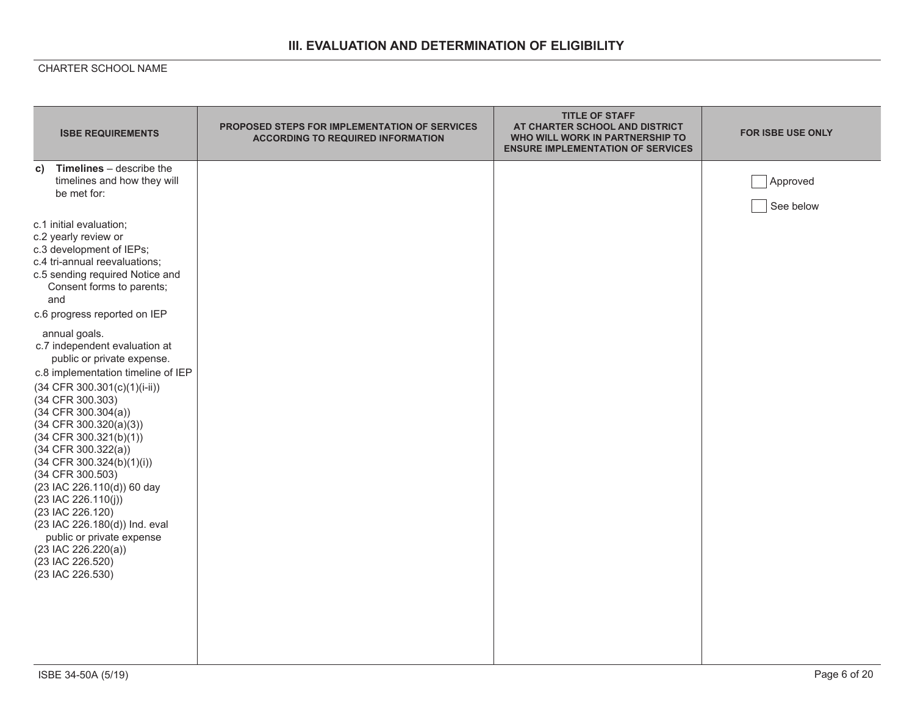# **III. EVALUATION AND DETERMINATION OF ELIGIBILITY**

| <b>ISBE REQUIREMENTS</b>                                                                                                                                                                                                                                                                                                                                                                                                                                                                                                                                                      | <b>PROPOSED STEPS FOR IMPLEMENTATION OF SERVICES</b><br><b>ACCORDING TO REQUIRED INFORMATION</b> | <b>TITLE OF STAFF</b><br>AT CHARTER SCHOOL AND DISTRICT<br>WHO WILL WORK IN PARTNERSHIP TO<br><b>ENSURE IMPLEMENTATION OF SERVICES</b> | <b>FOR ISBE USE ONLY</b> |
|-------------------------------------------------------------------------------------------------------------------------------------------------------------------------------------------------------------------------------------------------------------------------------------------------------------------------------------------------------------------------------------------------------------------------------------------------------------------------------------------------------------------------------------------------------------------------------|--------------------------------------------------------------------------------------------------|----------------------------------------------------------------------------------------------------------------------------------------|--------------------------|
| Timelines - describe the<br>C)<br>timelines and how they will<br>be met for:                                                                                                                                                                                                                                                                                                                                                                                                                                                                                                  |                                                                                                  |                                                                                                                                        | Approved<br>See below    |
| c.1 initial evaluation;<br>c.2 yearly review or<br>c.3 development of IEPs;<br>c.4 tri-annual reevaluations;<br>c.5 sending required Notice and<br>Consent forms to parents;<br>and                                                                                                                                                                                                                                                                                                                                                                                           |                                                                                                  |                                                                                                                                        |                          |
| c.6 progress reported on IEP<br>annual goals.<br>c.7 independent evaluation at<br>public or private expense.<br>c.8 implementation timeline of IEP<br>$(34 CFR 300.301(c)(1)(i-ii))$<br>(34 CFR 300.303)<br>$(34$ CFR 300.304(a))<br>$(34$ CFR 300.320(a)(3))<br>$(34$ CFR 300.321(b)(1))<br>$(34$ CFR $300.322(a))$<br>(34 CFR 300.324(b)(1)(i))<br>(34 CFR 300.503)<br>(23 IAC 226.110(d)) 60 day<br>(23 IAC 226.110(j))<br>(23 IAC 226.120)<br>(23 IAC 226.180(d)) Ind. eval<br>public or private expense<br>$(23$ IAC 226.220(a))<br>(23 IAC 226.520)<br>(23 IAC 226.530) |                                                                                                  |                                                                                                                                        |                          |
| ISBE 34-50A (5/19)                                                                                                                                                                                                                                                                                                                                                                                                                                                                                                                                                            |                                                                                                  |                                                                                                                                        | Page 6 of 20             |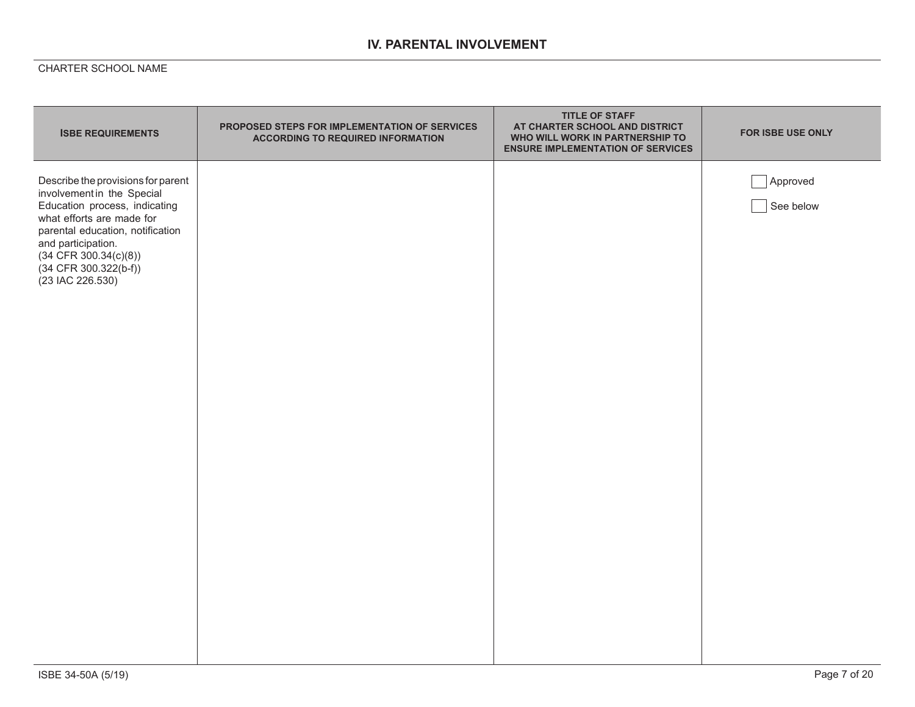## **IV. PARENTAL INVOLVEMENT**

| <b>ISBE REQUIREMENTS</b>                                                                                                                                                                                                                                         | PROPOSED STEPS FOR IMPLEMENTATION OF SERVICES<br><b>ACCORDING TO REQUIRED INFORMATION</b> | <b>TITLE OF STAFF</b><br>AT CHARTER SCHOOL AND DISTRICT<br>WHO WILL WORK IN PARTNERSHIP TO<br><b>ENSURE IMPLEMENTATION OF SERVICES</b> | FOR ISBE USE ONLY     |
|------------------------------------------------------------------------------------------------------------------------------------------------------------------------------------------------------------------------------------------------------------------|-------------------------------------------------------------------------------------------|----------------------------------------------------------------------------------------------------------------------------------------|-----------------------|
| Describe the provisions for parent<br>involvement in the Special<br>Education process, indicating<br>what efforts are made for<br>parental education, notification<br>and participation.<br>$(34$ CFR 300.34(c)(8))<br>(34 CFR 300.322(b-f))<br>(23 IAC 226.530) |                                                                                           |                                                                                                                                        | Approved<br>See below |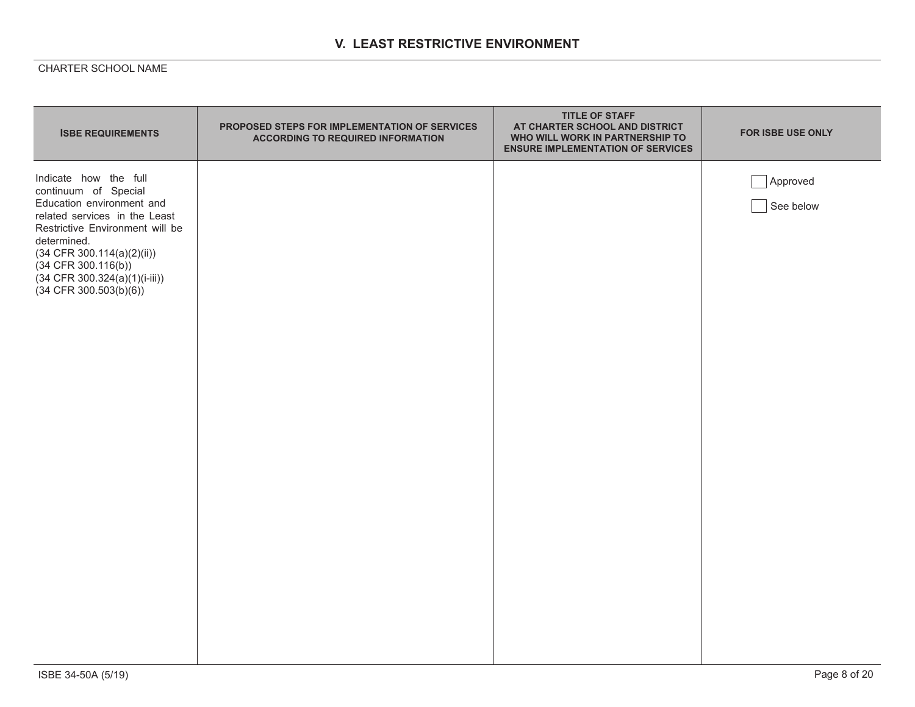## **V. LEAST RESTRICTIVE ENVIRONMENT**

| <b>ISBE REQUIREMENTS</b>                                                                                                                                                                                                                                                              | PROPOSED STEPS FOR IMPLEMENTATION OF SERVICES<br><b>ACCORDING TO REQUIRED INFORMATION</b> | <b>TITLE OF STAFF</b><br>AT CHARTER SCHOOL AND DISTRICT<br>WHO WILL WORK IN PARTNERSHIP TO<br><b>ENSURE IMPLEMENTATION OF SERVICES</b> | <b>FOR ISBE USE ONLY</b> |
|---------------------------------------------------------------------------------------------------------------------------------------------------------------------------------------------------------------------------------------------------------------------------------------|-------------------------------------------------------------------------------------------|----------------------------------------------------------------------------------------------------------------------------------------|--------------------------|
| Indicate how the full<br>continuum of Special<br>Education environment and<br>related services in the Least<br>Restrictive Environment will be<br>determined.<br>$(34$ CFR 300.114(a)(2)(ii))<br>$(34$ CFR 300.116(b))<br>$(34$ CFR 300.324(a)(1)(i-iii))<br>$(34$ CFR 300.503(b)(6)) |                                                                                           |                                                                                                                                        | Approved<br>See below    |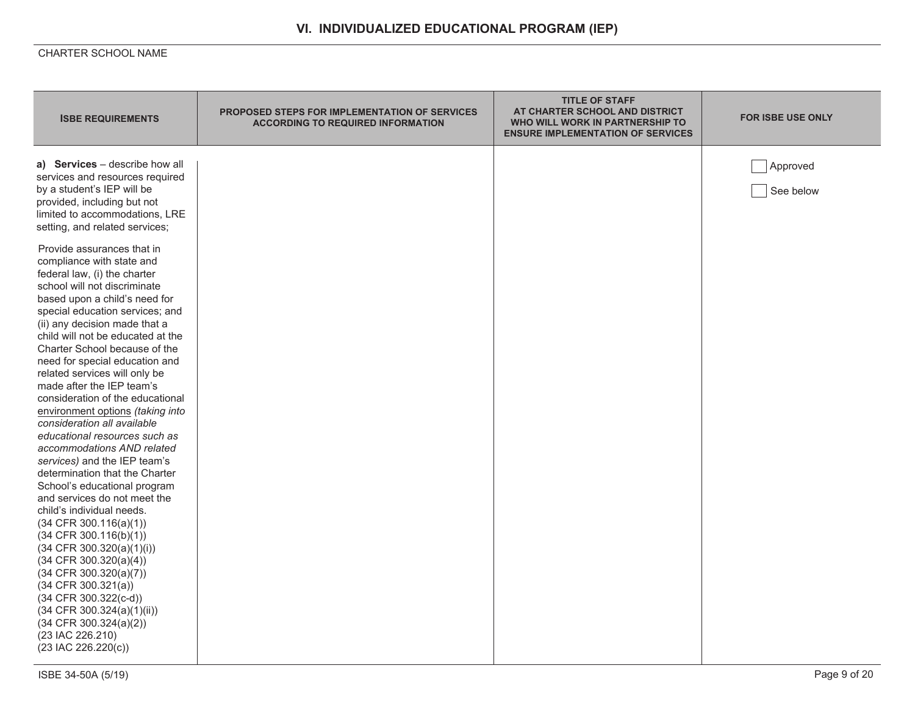| <b>ISBE REQUIREMENTS</b>                                                                                                                                                                                                                                                                                                                                                                                                                                                                                                                                                                                                                                                                                                                                                                                                                                                                                                                                                                                                                                                                                                                                                                                                                                    | <b>PROPOSED STEPS FOR IMPLEMENTATION OF SERVICES</b><br><b>ACCORDING TO REQUIRED INFORMATION</b> | <b>TITLE OF STAFF</b><br>AT CHARTER SCHOOL AND DISTRICT<br>WHO WILL WORK IN PARTNERSHIP TO<br><b>ENSURE IMPLEMENTATION OF SERVICES</b> | <b>FOR ISBE USE ONLY</b> |
|-------------------------------------------------------------------------------------------------------------------------------------------------------------------------------------------------------------------------------------------------------------------------------------------------------------------------------------------------------------------------------------------------------------------------------------------------------------------------------------------------------------------------------------------------------------------------------------------------------------------------------------------------------------------------------------------------------------------------------------------------------------------------------------------------------------------------------------------------------------------------------------------------------------------------------------------------------------------------------------------------------------------------------------------------------------------------------------------------------------------------------------------------------------------------------------------------------------------------------------------------------------|--------------------------------------------------------------------------------------------------|----------------------------------------------------------------------------------------------------------------------------------------|--------------------------|
| a) Services - describe how all<br>services and resources required<br>by a student's IEP will be<br>provided, including but not<br>limited to accommodations, LRE<br>setting, and related services;<br>Provide assurances that in<br>compliance with state and<br>federal law, (i) the charter<br>school will not discriminate<br>based upon a child's need for<br>special education services; and<br>(ii) any decision made that a<br>child will not be educated at the<br>Charter School because of the<br>need for special education and<br>related services will only be<br>made after the IEP team's<br>consideration of the educational<br>environment options (taking into<br>consideration all available<br>educational resources such as<br>accommodations AND related<br>services) and the IEP team's<br>determination that the Charter<br>School's educational program<br>and services do not meet the<br>child's individual needs.<br>(34 CFR 300.116(a)(1))<br>$(34$ CFR 300.116(b)(1))<br>$(34$ CFR 300.320(a)(1)(i))<br>$(34$ CFR 300.320(a)(4))<br>$(34$ CFR 300.320(a)(7))<br>$(34$ CFR $300.321(a))$<br>(34 CFR 300.322(c-d))<br>$(34$ CFR 300.324(a)(1)(ii))<br>$(34$ CFR $300.324(a)(2))$<br>(23 IAC 226.210)<br>$(23$ IAC $226.220(c))$ |                                                                                                  |                                                                                                                                        | Approved<br>See below    |
| ISBE 34-50A (5/19)                                                                                                                                                                                                                                                                                                                                                                                                                                                                                                                                                                                                                                                                                                                                                                                                                                                                                                                                                                                                                                                                                                                                                                                                                                          |                                                                                                  |                                                                                                                                        | Page 9 of 20             |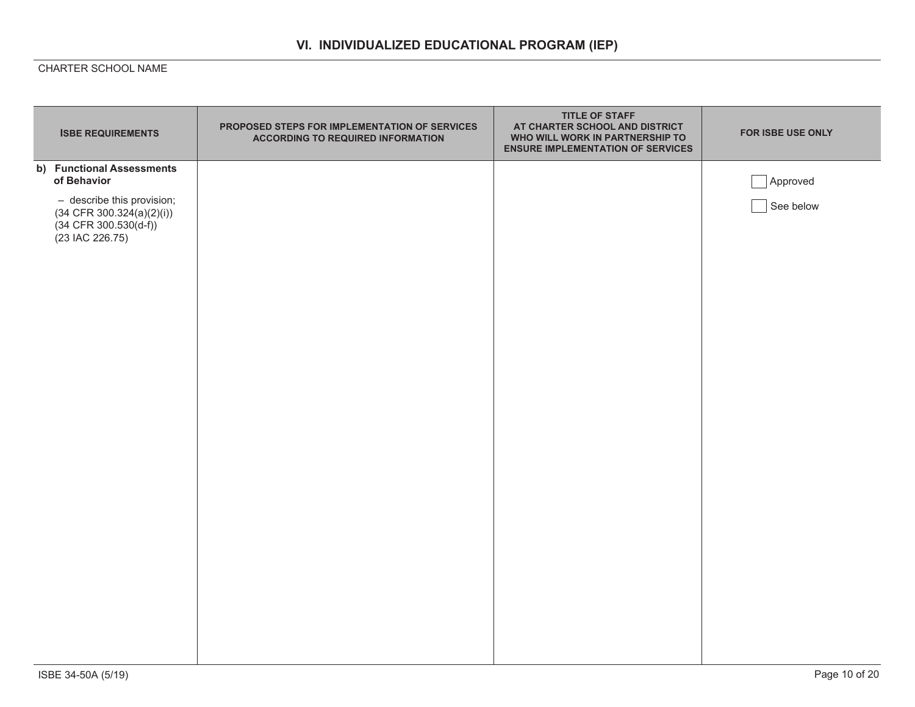| <b>ISBE REQUIREMENTS</b>                                                                                                                                | PROPOSED STEPS FOR IMPLEMENTATION OF SERVICES<br><b>ACCORDING TO REQUIRED INFORMATION</b> | <b>TITLE OF STAFF</b><br>AT CHARTER SCHOOL AND DISTRICT<br>WHO WILL WORK IN PARTNERSHIP TO<br><b>ENSURE IMPLEMENTATION OF SERVICES</b> | FOR ISBE USE ONLY     |
|---------------------------------------------------------------------------------------------------------------------------------------------------------|-------------------------------------------------------------------------------------------|----------------------------------------------------------------------------------------------------------------------------------------|-----------------------|
| b) Functional Assessments<br>of Behavior<br>- describe this provision;<br>$(34$ CFR $300.324(a)(2)(i))$<br>$(34$ CFR $300.530(d-f))$<br>(23 IAC 226.75) |                                                                                           |                                                                                                                                        | Approved<br>See below |
|                                                                                                                                                         |                                                                                           |                                                                                                                                        |                       |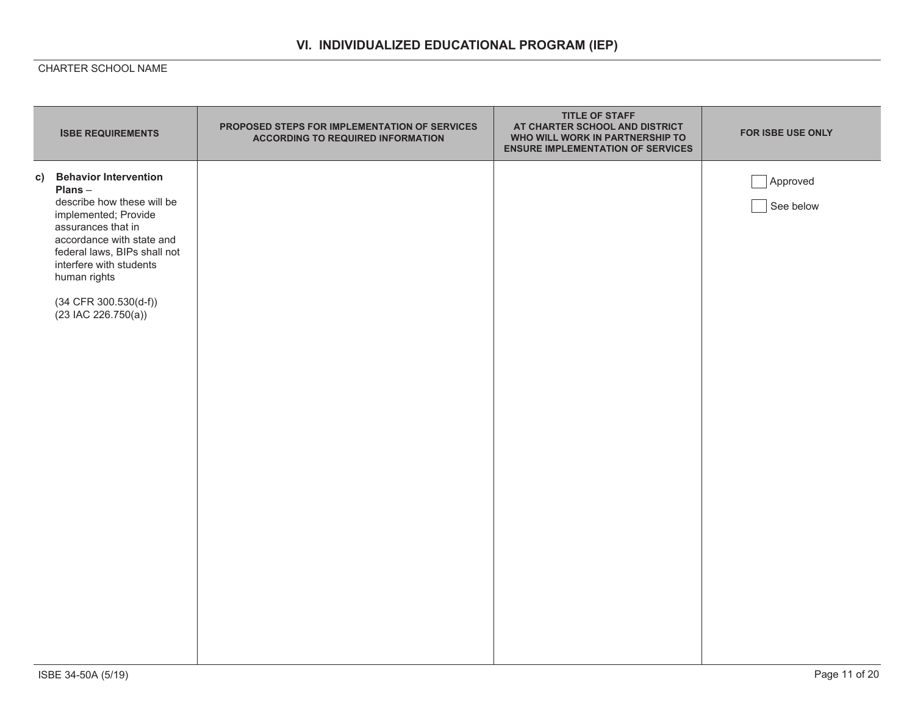|    | <b>ISBE REQUIREMENTS</b>                                                                                                                                                                                                                                                         | PROPOSED STEPS FOR IMPLEMENTATION OF SERVICES<br><b>ACCORDING TO REQUIRED INFORMATION</b> | <b>TITLE OF STAFF</b><br>AT CHARTER SCHOOL AND DISTRICT<br>WHO WILL WORK IN PARTNERSHIP TO<br><b>ENSURE IMPLEMENTATION OF SERVICES</b> | FOR ISBE USE ONLY     |
|----|----------------------------------------------------------------------------------------------------------------------------------------------------------------------------------------------------------------------------------------------------------------------------------|-------------------------------------------------------------------------------------------|----------------------------------------------------------------------------------------------------------------------------------------|-----------------------|
| C) | <b>Behavior Intervention</b><br>Plans-<br>describe how these will be<br>implemented; Provide<br>assurances that in<br>accordance with state and<br>federal laws, BIPs shall not<br>interfere with students<br>human rights<br>$(34$ CFR $300.530(d-f))$<br>$(23$ IAC 226.750(a)) |                                                                                           |                                                                                                                                        | Approved<br>See below |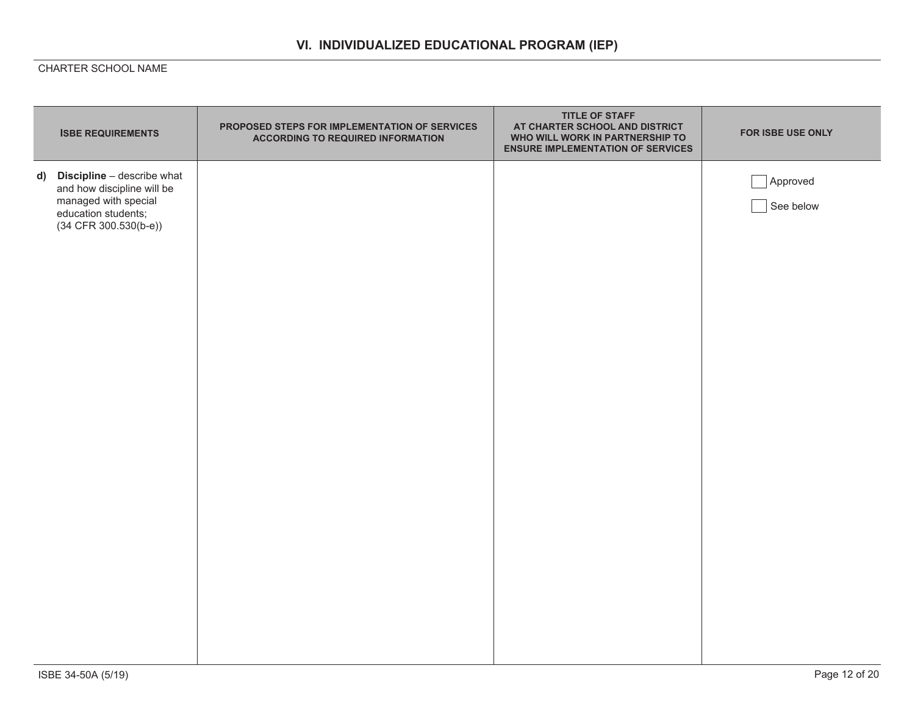| <b>ISBE REQUIREMENTS</b>                                                                                                                | PROPOSED STEPS FOR IMPLEMENTATION OF SERVICES<br><b>ACCORDING TO REQUIRED INFORMATION</b> | <b>TITLE OF STAFF</b><br>AT CHARTER SCHOOL AND DISTRICT<br>WHO WILL WORK IN PARTNERSHIP TO<br><b>ENSURE IMPLEMENTATION OF SERVICES</b> | FOR ISBE USE ONLY     |
|-----------------------------------------------------------------------------------------------------------------------------------------|-------------------------------------------------------------------------------------------|----------------------------------------------------------------------------------------------------------------------------------------|-----------------------|
| d) Discipline - describe what<br>and how discipline will be<br>managed with special<br>education students;<br>$(34$ CFR $300.530(b-e))$ |                                                                                           |                                                                                                                                        | Approved<br>See below |
|                                                                                                                                         |                                                                                           |                                                                                                                                        |                       |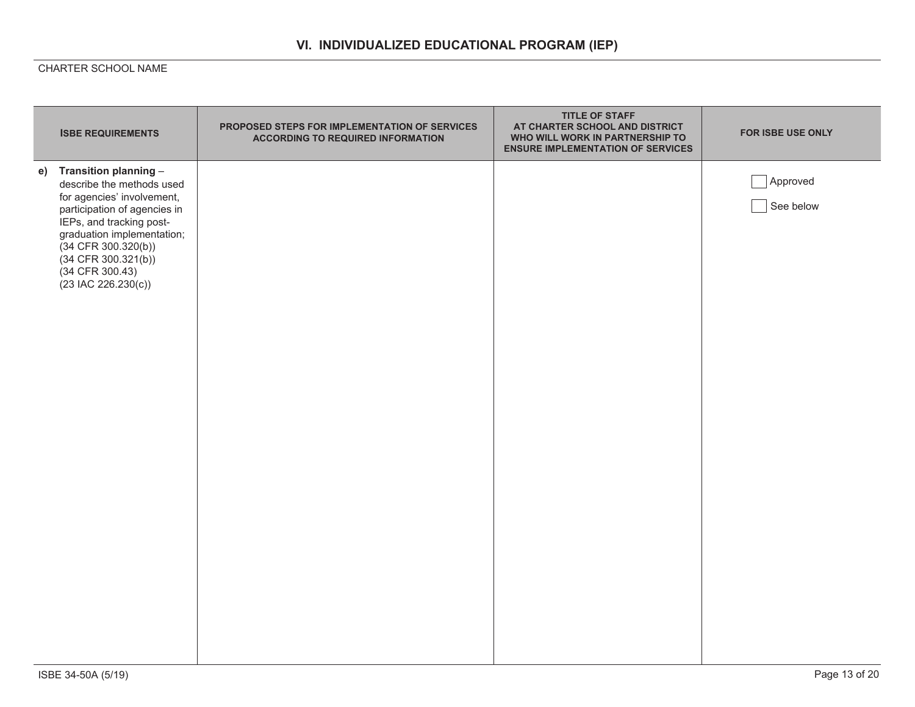| <b>ISBE REQUIREMENTS</b>                                                                                                                                                                                                                                                    | PROPOSED STEPS FOR IMPLEMENTATION OF SERVICES<br><b>ACCORDING TO REQUIRED INFORMATION</b> | <b>TITLE OF STAFF</b><br>AT CHARTER SCHOOL AND DISTRICT<br>WHO WILL WORK IN PARTNERSHIP TO<br><b>ENSURE IMPLEMENTATION OF SERVICES</b> | FOR ISBE USE ONLY     |
|-----------------------------------------------------------------------------------------------------------------------------------------------------------------------------------------------------------------------------------------------------------------------------|-------------------------------------------------------------------------------------------|----------------------------------------------------------------------------------------------------------------------------------------|-----------------------|
| e) Transition planning -<br>describe the methods used<br>for agencies' involvement,<br>participation of agencies in<br>IEPs, and tracking post-<br>graduation implementation;<br>(34 CFR 300.320(b))<br>$(34$ CFR $300.321(b))$<br>(34 CFR 300.43)<br>$(23$ IAC 226.230(c)) |                                                                                           |                                                                                                                                        | Approved<br>See below |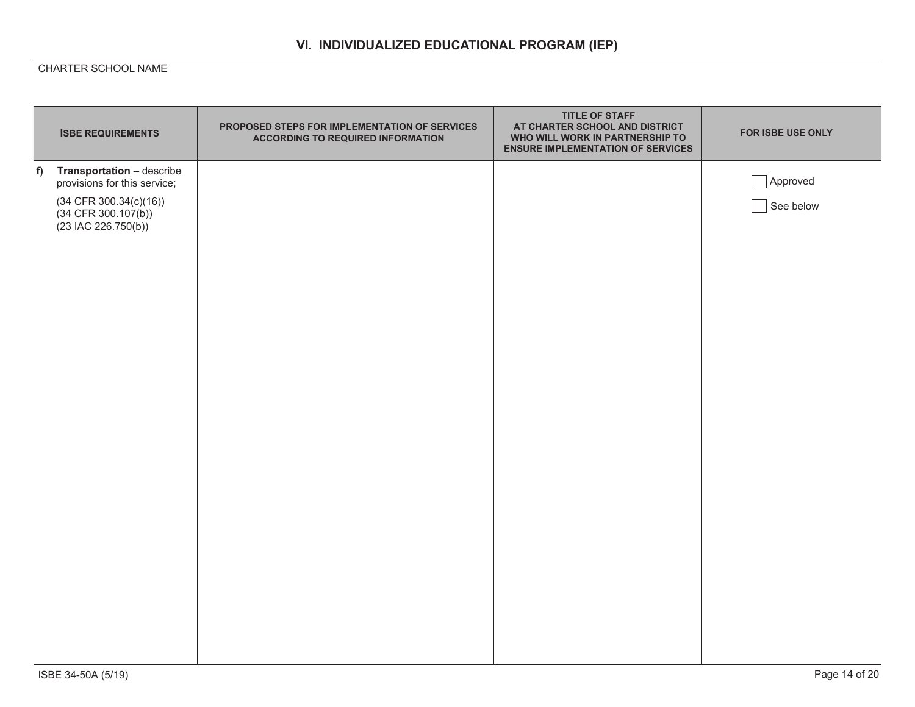|   | <b>ISBE REQUIREMENTS</b>                                                   | PROPOSED STEPS FOR IMPLEMENTATION OF SERVICES<br><b>ACCORDING TO REQUIRED INFORMATION</b> | <b>TITLE OF STAFF</b><br>AT CHARTER SCHOOL AND DISTRICT<br>WHO WILL WORK IN PARTNERSHIP TO<br><b>ENSURE IMPLEMENTATION OF SERVICES</b> | FOR ISBE USE ONLY |
|---|----------------------------------------------------------------------------|-------------------------------------------------------------------------------------------|----------------------------------------------------------------------------------------------------------------------------------------|-------------------|
| f | Transportation - describe<br>provisions for this service;                  |                                                                                           |                                                                                                                                        | Approved          |
|   | $(34$ CFR 300.34(c)(16))<br>$(34$ CFR 300.107(b))<br>$(23$ IAC 226.750(b)) |                                                                                           |                                                                                                                                        | See below         |
|   |                                                                            |                                                                                           |                                                                                                                                        |                   |
|   |                                                                            |                                                                                           |                                                                                                                                        |                   |
|   |                                                                            |                                                                                           |                                                                                                                                        |                   |
|   |                                                                            |                                                                                           |                                                                                                                                        |                   |
|   |                                                                            |                                                                                           |                                                                                                                                        |                   |
|   |                                                                            |                                                                                           |                                                                                                                                        |                   |
|   |                                                                            |                                                                                           |                                                                                                                                        |                   |
|   |                                                                            |                                                                                           |                                                                                                                                        |                   |
|   |                                                                            |                                                                                           |                                                                                                                                        |                   |
|   |                                                                            |                                                                                           |                                                                                                                                        |                   |
|   |                                                                            |                                                                                           |                                                                                                                                        |                   |
|   |                                                                            |                                                                                           |                                                                                                                                        |                   |
|   |                                                                            |                                                                                           |                                                                                                                                        |                   |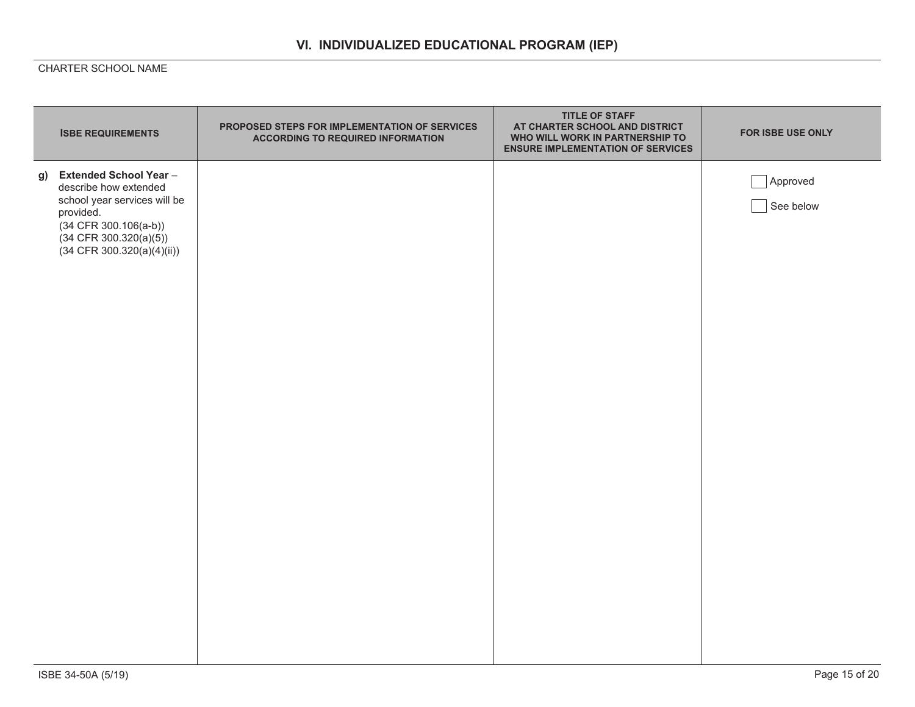| <b>ISBE REQUIREMENTS</b>                                                                                                                                                                | PROPOSED STEPS FOR IMPLEMENTATION OF SERVICES<br><b>ACCORDING TO REQUIRED INFORMATION</b> | <b>TITLE OF STAFF</b><br>AT CHARTER SCHOOL AND DISTRICT<br>WHO WILL WORK IN PARTNERSHIP TO<br><b>ENSURE IMPLEMENTATION OF SERVICES</b> | FOR ISBE USE ONLY     |
|-----------------------------------------------------------------------------------------------------------------------------------------------------------------------------------------|-------------------------------------------------------------------------------------------|----------------------------------------------------------------------------------------------------------------------------------------|-----------------------|
| g) Extended School Year-<br>describe how extended<br>school year services will be<br>provided.<br>$(34$ CFR $300.106(a-b))$<br>$(34$ CFR 300.320(a)(5))<br>$(34$ CFR 300.320(a)(4)(ii)) |                                                                                           |                                                                                                                                        | Approved<br>See below |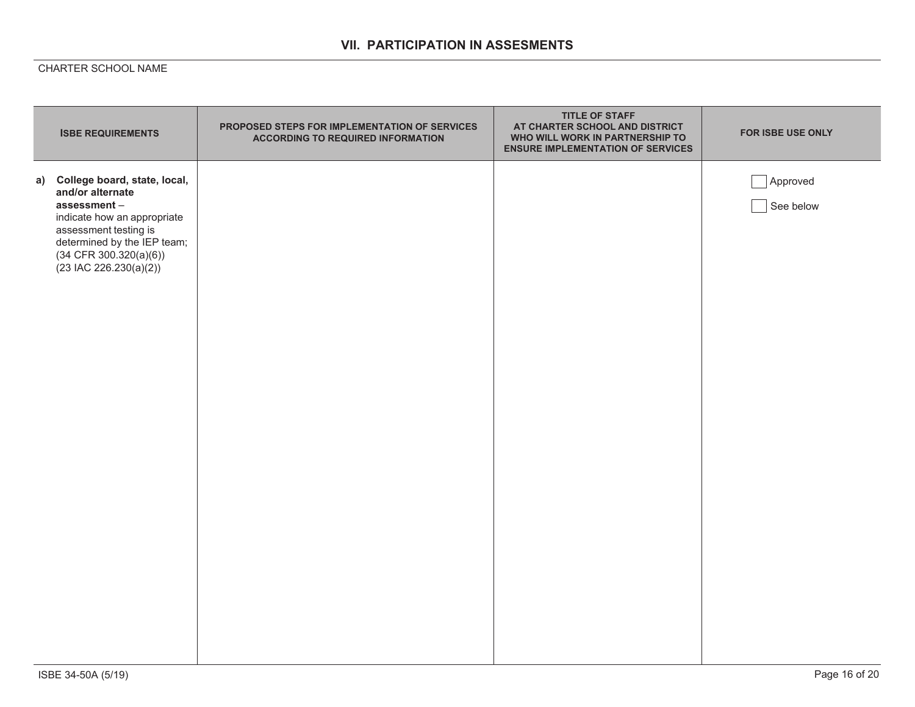## **VII. PARTICIPATION IN ASSESMENTS**

| <b>ISBE REQUIREMENTS</b>                                                                                                                                                                                            | PROPOSED STEPS FOR IMPLEMENTATION OF SERVICES<br><b>ACCORDING TO REQUIRED INFORMATION</b> | <b>TITLE OF STAFF</b><br>AT CHARTER SCHOOL AND DISTRICT<br>WHO WILL WORK IN PARTNERSHIP TO<br><b>ENSURE IMPLEMENTATION OF SERVICES</b> | FOR ISBE USE ONLY     |
|---------------------------------------------------------------------------------------------------------------------------------------------------------------------------------------------------------------------|-------------------------------------------------------------------------------------------|----------------------------------------------------------------------------------------------------------------------------------------|-----------------------|
| a) College board, state, local,<br>and/or alternate<br>assessment-<br>indicate how an appropriate<br>assessment testing is<br>determined by the IEP team;<br>$(34$ CFR $300.320(a)(6))$<br>$(23$ IAC 226.230(a)(2)) |                                                                                           |                                                                                                                                        | Approved<br>See below |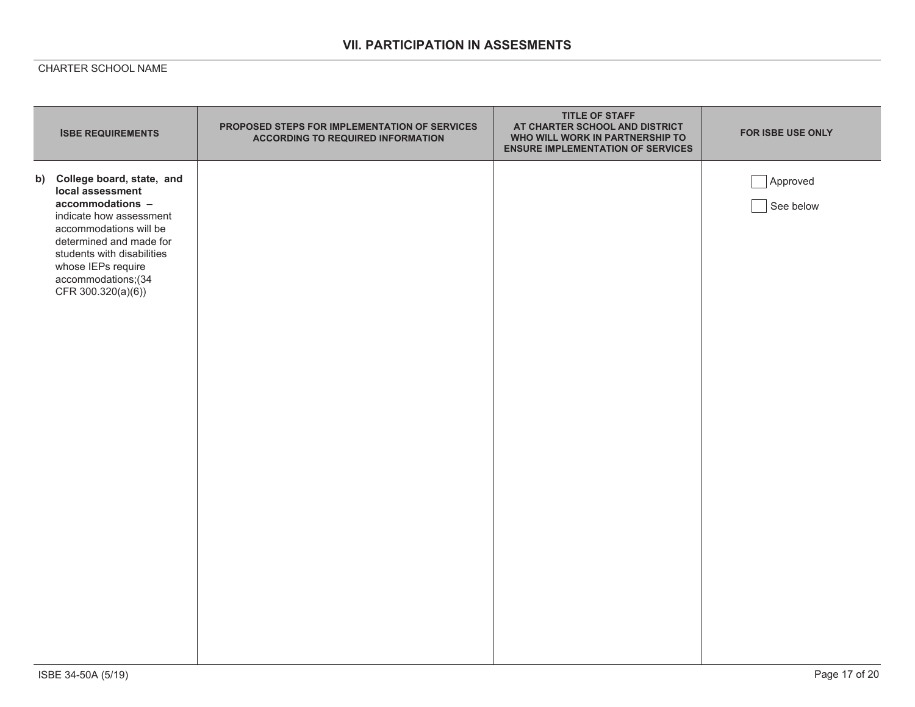## **VII. PARTICIPATION IN ASSESMENTS**

| <b>ISBE REQUIREMENTS</b>                                                                                                                                                                                                                             | PROPOSED STEPS FOR IMPLEMENTATION OF SERVICES<br><b>ACCORDING TO REQUIRED INFORMATION</b> | <b>TITLE OF STAFF</b><br>AT CHARTER SCHOOL AND DISTRICT<br>WHO WILL WORK IN PARTNERSHIP TO<br><b>ENSURE IMPLEMENTATION OF SERVICES</b> | FOR ISBE USE ONLY     |
|------------------------------------------------------------------------------------------------------------------------------------------------------------------------------------------------------------------------------------------------------|-------------------------------------------------------------------------------------------|----------------------------------------------------------------------------------------------------------------------------------------|-----------------------|
| b) College board, state, and<br>local assessment<br>accommodations -<br>indicate how assessment<br>accommodations will be<br>determined and made for<br>students with disabilities<br>whose IEPs require<br>accommodations;(34<br>CFR 300.320(a)(6)) |                                                                                           |                                                                                                                                        | Approved<br>See below |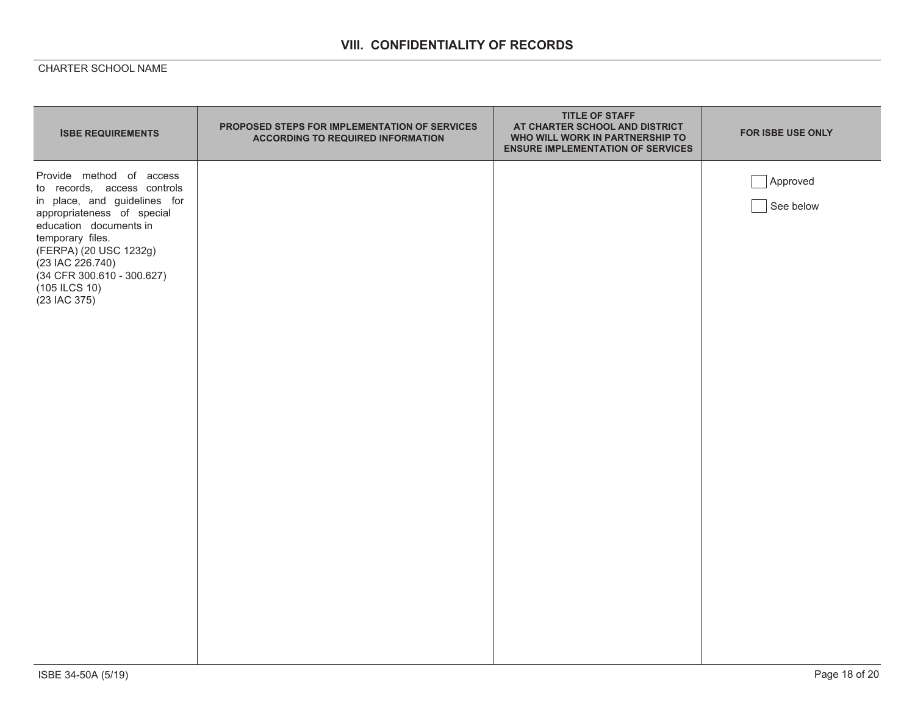# **VIII. CONFIDENTIALITY OF RECORDS**

| <b>ISBE REQUIREMENTS</b>                                                                                                                                                                                                                                                         | PROPOSED STEPS FOR IMPLEMENTATION OF SERVICES<br><b>ACCORDING TO REQUIRED INFORMATION</b> | <b>TITLE OF STAFF</b><br>AT CHARTER SCHOOL AND DISTRICT<br>WHO WILL WORK IN PARTNERSHIP TO<br><b>ENSURE IMPLEMENTATION OF SERVICES</b> | FOR ISBE USE ONLY     |
|----------------------------------------------------------------------------------------------------------------------------------------------------------------------------------------------------------------------------------------------------------------------------------|-------------------------------------------------------------------------------------------|----------------------------------------------------------------------------------------------------------------------------------------|-----------------------|
| Provide method of access<br>to records, access controls<br>in place, and guidelines for<br>appropriateness of special<br>education documents in<br>temporary files.<br>(FERPA) (20 USC 1232g)<br>(23 IAC 226.740)<br>(34 CFR 300.610 - 300.627)<br>(105 ILCS 10)<br>(23 IAC 375) |                                                                                           |                                                                                                                                        | Approved<br>See below |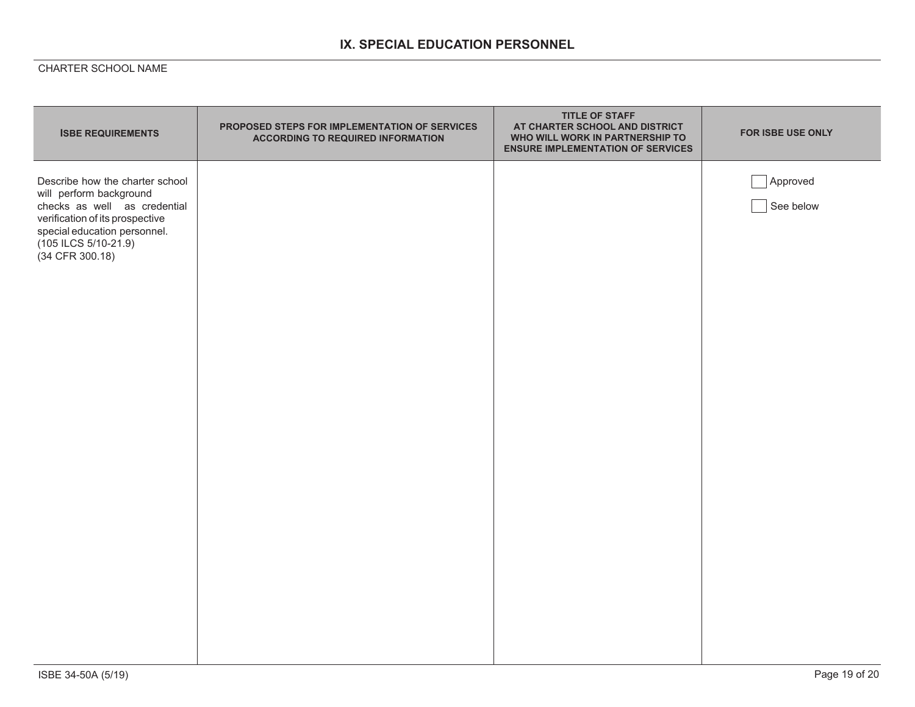# **IX. SPECIAL EDUCATION PERSONNEL**

| <b>ISBE REQUIREMENTS</b>                                                                                                                                                                                     | PROPOSED STEPS FOR IMPLEMENTATION OF SERVICES<br><b>ACCORDING TO REQUIRED INFORMATION</b> | <b>TITLE OF STAFF</b><br>AT CHARTER SCHOOL AND DISTRICT<br>WHO WILL WORK IN PARTNERSHIP TO<br><b>ENSURE IMPLEMENTATION OF SERVICES</b> | FOR ISBE USE ONLY     |
|--------------------------------------------------------------------------------------------------------------------------------------------------------------------------------------------------------------|-------------------------------------------------------------------------------------------|----------------------------------------------------------------------------------------------------------------------------------------|-----------------------|
| Describe how the charter school<br>will perform background<br>checks as well as credential<br>verification of its prospective<br>special education personnel.<br>$(105$ ILCS $5/10-21.9)$<br>(34 CFR 300.18) |                                                                                           |                                                                                                                                        | Approved<br>See below |
|                                                                                                                                                                                                              |                                                                                           |                                                                                                                                        |                       |